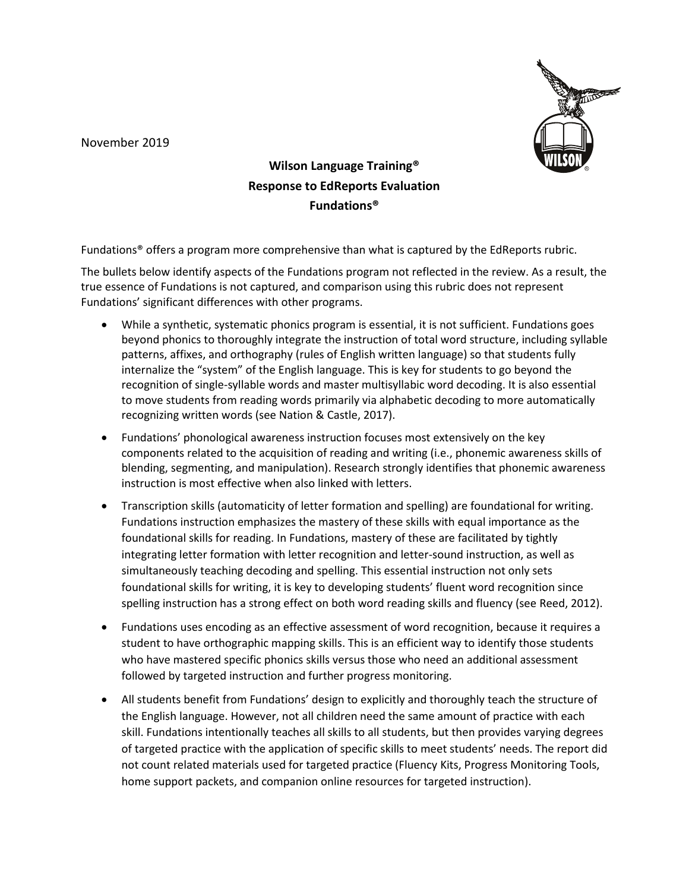November 2019



**Wilson Language Training® Response to EdReports Evaluation Fundations®** 

Fundations® offers a program more comprehensive than what is captured by the EdReports rubric.

The bullets below identify aspects of the Fundations program not reflected in the review. As a result, the true essence of Fundations is not captured, and comparison using this rubric does not represent Fundations' significant differences with other programs.

- While a synthetic, systematic phonics program is essential, it is not sufficient. Fundations goes beyond phonics to thoroughly integrate the instruction of total word structure, including syllable patterns, affixes, and orthography (rules of English written language) so that students fully internalize the "system" of the English language. This is key for students to go beyond the recognition of single-syllable words and master multisyllabic word decoding. It is also essential to move students from reading words primarily via alphabetic decoding to more automatically recognizing written words (see Nation & Castle, 2017).
- Fundations' phonological awareness instruction focuses most extensively on the key components related to the acquisition of reading and writing (i.e., phonemic awareness skills of blending, segmenting, and manipulation). Research strongly identifies that phonemic awareness instruction is most effective when also linked with letters.
- Transcription skills (automaticity of letter formation and spelling) are foundational for writing. Fundations instruction emphasizes the mastery of these skills with equal importance as the foundational skills for reading. In Fundations, mastery of these are facilitated by tightly integrating letter formation with letter recognition and letter-sound instruction, as well as simultaneously teaching decoding and spelling. This essential instruction not only sets foundational skills for writing, it is key to developing students' fluent word recognition since spelling instruction has a strong effect on both word reading skills and fluency (see Reed, 2012).
- Fundations uses encoding as an effective assessment of word recognition, because it requires a student to have orthographic mapping skills. This is an efficient way to identify those students who have mastered specific phonics skills versus those who need an additional assessment followed by targeted instruction and further progress monitoring.
- All students benefit from Fundations' design to explicitly and thoroughly teach the structure of the English language. However, not all children need the same amount of practice with each skill. Fundations intentionally teaches all skills to all students, but then provides varying degrees of targeted practice with the application of specific skills to meet students' needs. The report did not count related materials used for targeted practice (Fluency Kits, Progress Monitoring Tools, home support packets, and companion online resources for targeted instruction).